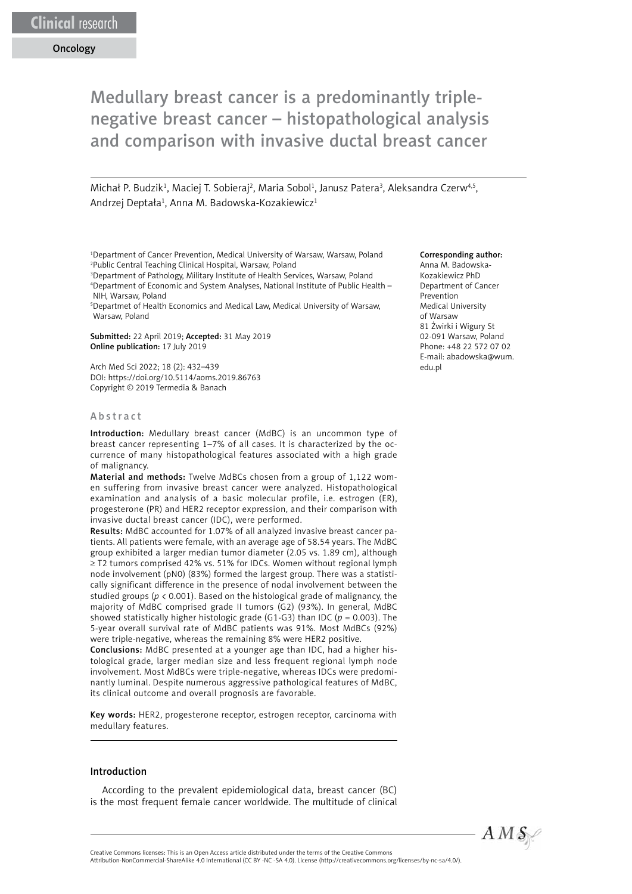# Medullary breast cancer is a predominantly triplenegative breast cancer – histopathological analysis and comparison with invasive ductal breast cancer

Michał P. Budzik<sup>1</sup>, Maciej T. Sobieraj<sup>2</sup>, Maria Sobol<sup>1</sup>, Janusz Patera<sup>3</sup>, Aleksandra Czerw<sup>4,5</sup>, Andrzej Deptała<sup>1</sup>, Anna M. Badowska-Kozakiewicz<sup>1</sup>

1 Department of Cancer Prevention, Medical University of Warsaw, Warsaw, Poland 2 Public Central Teaching Clinical Hospital, Warsaw, Poland

3 Department of Pathology, Military Institute of Health Services, Warsaw, Poland 4 Department of Economic and System Analyses, National Institute of Public Health – NIH, Warsaw, Poland

5 Departmet of Health Economics and Medical Law, Medical University of Warsaw, Warsaw, Poland

Submitted: 22 April 2019; Accepted: 31 May 2019 Online publication: 17 July 2019

Arch Med Sci 2022; 18 (2): 432–439 DOI: https://doi.org/10.5114/aoms.2019.86763 Copyright © 2019 Termedia & Banach

## Abstract

Introduction: Medullary breast cancer (MdBC) is an uncommon type of breast cancer representing 1–7% of all cases. It is characterized by the occurrence of many histopathological features associated with a high grade of malignancy.

Material and methods: Twelve MdBCs chosen from a group of 1,122 women suffering from invasive breast cancer were analyzed. Histopathological examination and analysis of a basic molecular profile, i.e. estrogen (ER), progesterone (PR) and HER2 receptor expression, and their comparison with invasive ductal breast cancer (IDC), were performed.

Results: MdBC accounted for 1.07% of all analyzed invasive breast cancer patients. All patients were female, with an average age of 58.54 years. The MdBC group exhibited a larger median tumor diameter (2.05 vs. 1.89 cm), although ≥ T2 tumors comprised 42% vs. 51% for IDCs. Women without regional lymph node involvement (pN0) (83%) formed the largest group. There was a statistically significant difference in the presence of nodal involvement between the studied groups (*p* < 0.001). Based on the histological grade of malignancy, the majority of MdBC comprised grade II tumors (G2) (93%). In general, MdBC showed statistically higher histologic grade (G1-G3) than IDC (*p* = 0.003). The 5-year overall survival rate of MdBC patients was 91%. Most MdBCs (92%) were triple-negative, whereas the remaining 8% were HER2 positive.

Conclusions: MdBC presented at a younger age than IDC, had a higher histological grade, larger median size and less frequent regional lymph node involvement. Most MdBCs were triple-negative, whereas IDCs were predominantly luminal. Despite numerous aggressive pathological features of MdBC, its clinical outcome and overall prognosis are favorable.

Key words: HER2, progesterone receptor, estrogen receptor, carcinoma with medullary features.

#### Introduction

According to the prevalent epidemiological data, breast cancer (BC) is the most frequent female cancer worldwide. The multitude of clinical

#### Corresponding author:

Anna M. Badowska-Kozakiewicz PhD Department of Cancer Prevention Medical University of Warsaw 81 Żwirki i Wigury St 02-091 Warsaw, Poland Phone: +48 22 572 07 02 E-mail: [abadowska@wum.](mailto:abadowska@wum.edu.pl) [edu.pl](mailto:abadowska@wum.edu.pl)

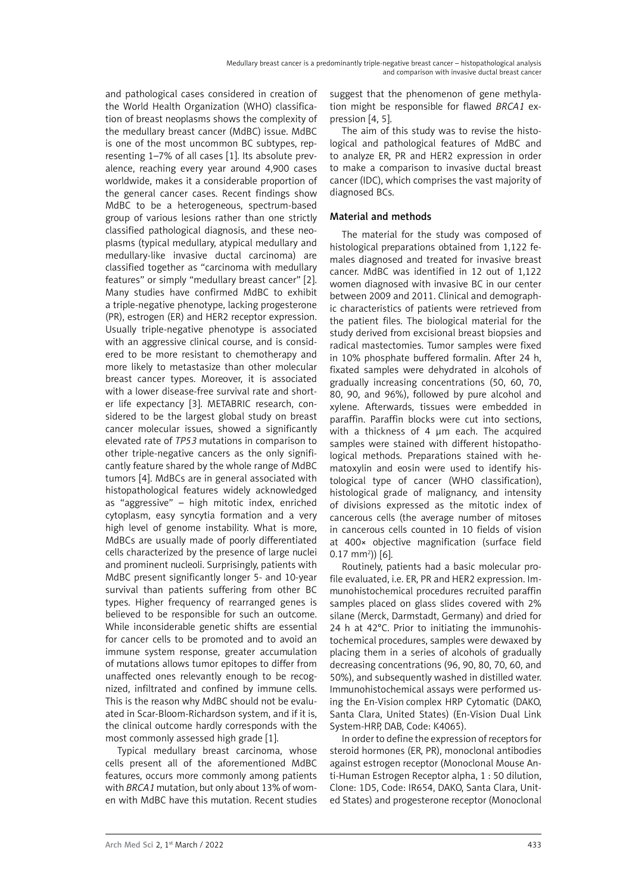and pathological cases considered in creation of the World Health Organization (WHO) classification of breast neoplasms shows the complexity of the medullary breast cancer (MdBC) issue. MdBC is one of the most uncommon BC subtypes, representing 1–7% of all cases [1]. Its absolute prevalence, reaching every year around 4,900 cases worldwide, makes it a considerable proportion of the general cancer cases. Recent findings show MdBC to be a heterogeneous, spectrum-based group of various lesions rather than one strictly classified pathological diagnosis, and these neoplasms (typical medullary, atypical medullary and medullary-like invasive ductal carcinoma) are classified together as "carcinoma with medullary features" or simply "medullary breast cancer" [2]. Many studies have confirmed MdBC to exhibit a triple-negative phenotype, lacking progesterone (PR), estrogen (ER) and HER2 receptor expression. Usually triple-negative phenotype is associated with an aggressive clinical course, and is considered to be more resistant to chemotherapy and more likely to metastasize than other molecular breast cancer types. Moreover, it is associated with a lower disease-free survival rate and shorter life expectancy [3]. METABRIC research, considered to be the largest global study on breast cancer molecular issues, showed a significantly elevated rate of *TP53* mutations in comparison to other triple-negative cancers as the only significantly feature shared by the whole range of MdBC tumors [4]. MdBCs are in general associated with histopathological features widely acknowledged as "aggressive" – high mitotic index, enriched cytoplasm, easy syncytia formation and a very high level of genome instability. What is more, MdBCs are usually made of poorly differentiated cells characterized by the presence of large nuclei and prominent nucleoli. Surprisingly, patients with MdBC present significantly longer 5- and 10-year survival than patients suffering from other BC types. Higher frequency of rearranged genes is believed to be responsible for such an outcome. While inconsiderable genetic shifts are essential for cancer cells to be promoted and to avoid an immune system response, greater accumulation of mutations allows tumor epitopes to differ from unaffected ones relevantly enough to be recognized, infiltrated and confined by immune cells. This is the reason why MdBC should not be evaluated in Scar-Bloom-Richardson system, and if it is, the clinical outcome hardly corresponds with the most commonly assessed high grade [1].

Typical medullary breast carcinoma, whose cells present all of the aforementioned MdBC features, occurs more commonly among patients with *BRCA1* mutation, but only about 13% of women with MdBC have this mutation. Recent studies suggest that the phenomenon of gene methylation might be responsible for flawed *BRCA1* expression [4, 5].

The aim of this study was to revise the histological and pathological features of MdBC and to analyze ER, PR and HER2 expression in order to make a comparison to invasive ductal breast cancer (IDC), which comprises the vast majority of diagnosed BCs.

## Material and methods

The material for the study was composed of histological preparations obtained from 1,122 females diagnosed and treated for invasive breast cancer. MdBC was identified in 12 out of 1,122 women diagnosed with invasive BC in our center between 2009 and 2011. Clinical and demographic characteristics of patients were retrieved from the patient files. The biological material for the study derived from excisional breast biopsies and radical mastectomies. Tumor samples were fixed in 10% phosphate buffered formalin. After 24 h, fixated samples were dehydrated in alcohols of gradually increasing concentrations (50, 60, 70, 80, 90, and 96%), followed by pure alcohol and xylene. Afterwards, tissues were embedded in paraffin. Paraffin blocks were cut into sections, with a thickness of 4 µm each. The acquired samples were stained with different histopathological methods. Preparations stained with hematoxylin and eosin were used to identify histological type of cancer (WHO classification), histological grade of malignancy, and intensity of divisions expressed as the mitotic index of cancerous cells (the average number of mitoses in cancerous cells counted in 10 fields of vision at 400× objective magnification (surface field  $(0.17 \text{ mm}^2)$  $(6)$ .

Routinely, patients had a basic molecular profile evaluated, i.e. ER, PR and HER2 expression. Immunohistochemical procedures recruited paraffin samples placed on glass slides covered with 2% silane (Merck, Darmstadt, Germany) and dried for 24 h at 42°C. Prior to initiating the immunohistochemical procedures, samples were dewaxed by placing them in a series of alcohols of gradually decreasing concentrations (96, 90, 80, 70, 60, and 50%), and subsequently washed in distilled water. Immunohistochemical assays were performed using the En-Vision complex HRP Cytomatic (DAKO, Santa Clara, United States) (En-Vision Dual Link System-HRP, DAB, Code: K4065).

In order to define the expression of receptors for steroid hormones (ER, PR), monoclonal antibodies against estrogen receptor (Monoclonal Mouse Anti-Human Estrogen Receptor alpha, 1 : 50 dilution, Clone: 1D5, Code: IR654, DAKO, Santa Clara, United States) and progesterone receptor (Monoclonal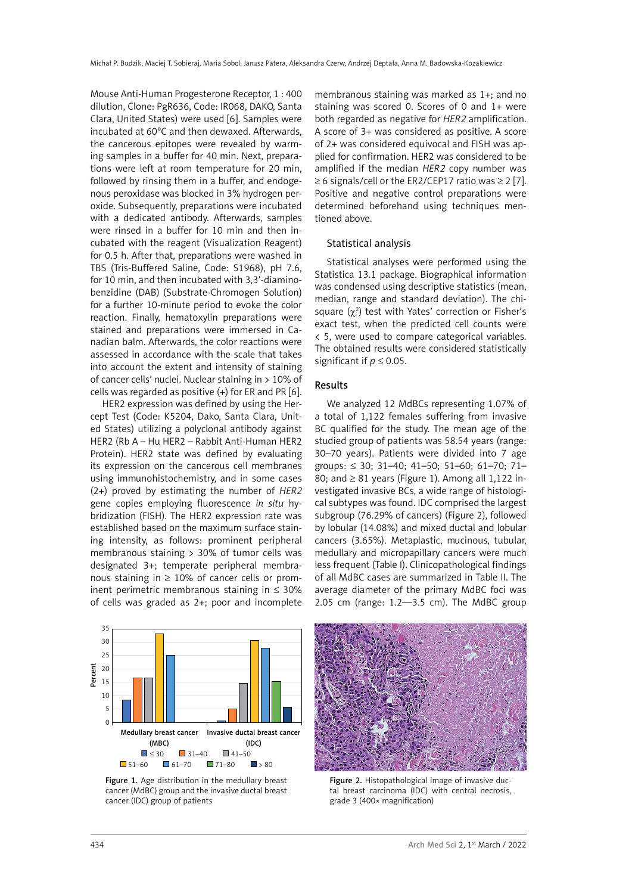Mouse Anti-Human Progesterone Receptor, 1 : 400 dilution, Clone: PgR636, Code: IR068, DAKO, Santa Clara, United States) were used [6]. Samples were incubated at 60°C and then dewaxed. Afterwards, the cancerous epitopes were revealed by warming samples in a buffer for 40 min. Next, preparations were left at room temperature for 20 min, followed by rinsing them in a buffer, and endogenous peroxidase was blocked in 3% hydrogen peroxide. Subsequently, preparations were incubated with a dedicated antibody. Afterwards, samples were rinsed in a buffer for 10 min and then incubated with the reagent (Visualization Reagent) for 0.5 h. After that, preparations were washed in TBS (Tris-Buffered Saline, Code: S1968), pH 7.6, for 10 min, and then incubated with 3,3'-diaminobenzidine (DAB) (Substrate-Chromogen Solution) for a further 10-minute period to evoke the color reaction. Finally, hematoxylin preparations were stained and preparations were immersed in Canadian balm. Afterwards, the color reactions were assessed in accordance with the scale that takes into account the extent and intensity of staining of cancer cells' nuclei. Nuclear staining in > 10% of cells was regarded as positive (+) for ER and PR [6].

HER2 expression was defined by using the Hercept Test (Code: K5204, Dako, Santa Clara, United States) utilizing a polyclonal antibody against HER2 (Rb A – Hu HER2 – Rabbit Anti-Human HER2 Protein). HER2 state was defined by evaluating its expression on the cancerous cell membranes using immunohistochemistry, and in some cases (2+) proved by estimating the number of *HER2* gene copies employing fluorescence *in situ* hybridization (FISH). The HER2 expression rate was established based on the maximum surface staining intensity, as follows: prominent peripheral membranous staining  $> 30\%$  of tumor cells was designated 3+; temperate peripheral membranous staining in  $\geq$  10% of cancer cells or prominent perimetric membranous staining in ≤ 30% of cells was graded as 2+; poor and incomplete membranous staining was marked as 1+; and no staining was scored 0. Scores of 0 and 1+ were both regarded as negative for *HER2* amplification. A score of 3+ was considered as positive. A score of 2+ was considered equivocal and FISH was applied for confirmation. HER2 was considered to be amplified if the median *HER2* copy number was  $\geq$  6 signals/cell or the ER2/CEP17 ratio was  $\geq$  2 [7]. Positive and negative control preparations were determined beforehand using techniques mentioned above.

#### Statistical analysis

Statistical analyses were performed using the Statistica 13.1 package. Biographical information was condensed using descriptive statistics (mean, median, range and standard deviation). The chisquare  $(\chi^2)$  test with Yates' correction or Fisher's exact test, when the predicted cell counts were < 5, were used to compare categorical variables. The obtained results were considered statistically significant if  $p \leq 0.05$ .

#### Results

We analyzed 12 MdBCs representing 1.07% of a total of 1,122 females suffering from invasive BC qualified for the study. The mean age of the studied group of patients was 58.54 years (range: 30–70 years). Patients were divided into 7 age groups: ≤ 30; 31–40; 41–50; 51–60; 61–70; 71– 80; and  $\geq 81$  years (Figure 1). Among all 1,122 investigated invasive BCs, a wide range of histological subtypes was found. IDC comprised the largest subgroup (76.29% of cancers) (Figure 2), followed by lobular (14.08%) and mixed ductal and lobular cancers (3.65%). Metaplastic, mucinous, tubular, medullary and micropapillary cancers were much less frequent (Table I). Clinicopathological findings of all MdBC cases are summarized in Table II. The average diameter of the primary MdBC foci was 2.05 cm (range:  $1.2$ —3.5 cm). The MdBC group



Figure 1. Age distribution in the medullary breast cancer (MdBC) group and the invasive ductal breast cancer (IDC) group of patients



Figure 2. Histopathological image of invasive ductal breast carcinoma (IDC) with central necrosis, grade 3 (400× magnification)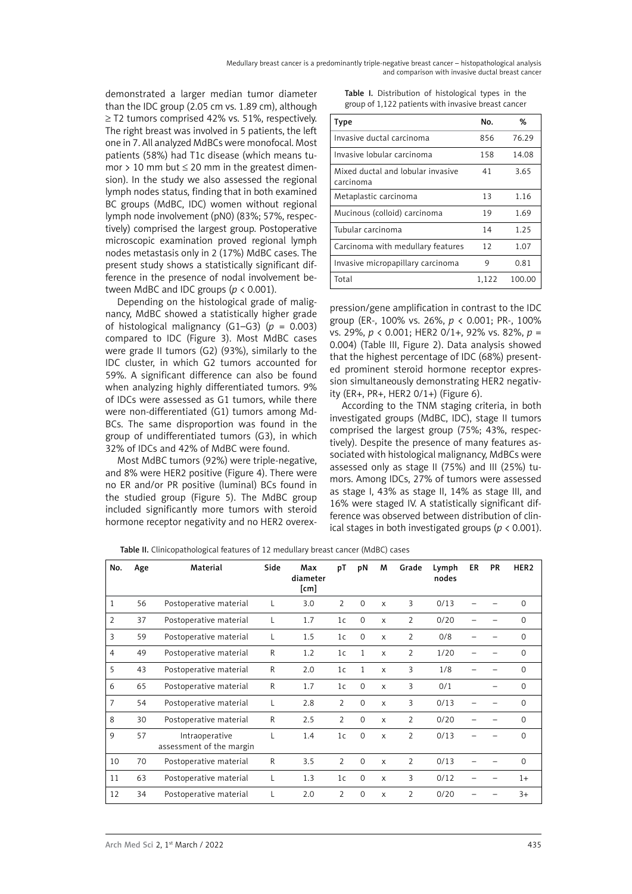demonstrated a larger median tumor diameter than the IDC group (2.05 cm vs. 1.89 cm), although ≥ T2 tumors comprised 42% vs. 51%, respectively. The right breast was involved in 5 patients, the left one in 7. All analyzed MdBCs were monofocal. Most patients (58%) had T1c disease (which means tumor > 10 mm but  $\leq$  20 mm in the greatest dimension). In the study we also assessed the regional lymph nodes status, finding that in both examined BC groups (MdBC, IDC) women without regional lymph node involvement (pN0) (83%; 57%, respectively) comprised the largest group. Postoperative microscopic examination proved regional lymph nodes metastasis only in 2 (17%) MdBC cases. The present study shows a statistically significant difference in the presence of nodal involvement between MdBC and IDC groups (*p* < 0.001).

Depending on the histological grade of malignancy, MdBC showed a statistically higher grade of histological malignancy (G1–G3) ( $p = 0.003$ ) compared to IDC (Figure 3). Most MdBC cases were grade II tumors (G2) (93%), similarly to the IDC cluster, in which G2 tumors accounted for 59%. A significant difference can also be found when analyzing highly differentiated tumors. 9% of IDCs were assessed as G1 tumors, while there were non-differentiated (G1) tumors among Md-BCs. The same disproportion was found in the group of undifferentiated tumors (G3), in which 32% of IDCs and 42% of MdBC were found.

Most MdBC tumors (92%) were triple-negative, and 8% were HER2 positive (Figure 4). There were no ER and/or PR positive (luminal) BCs found in the studied group (Figure 5). The MdBC group included significantly more tumors with steroid hormone receptor negativity and no HER2 overex-

Table I. Distribution of histological types in the group of 1,122 patients with invasive breast cancer

| Type                                           | N٥.   | %      |
|------------------------------------------------|-------|--------|
| Invasive ductal carcinoma                      | 856   | 76.29  |
| Invasive lobular carcinoma                     | 158   | 14.08  |
| Mixed ductal and lobular invasive<br>carcinoma | 41    | 3.65   |
| Metaplastic carcinoma                          | 13    | 1.16   |
| Mucinous (colloid) carcinoma                   | 19    | 1.69   |
| Tubular carcinoma                              | 14    | 1.25   |
| Carcinoma with medullary features              | 12    | 1.07   |
| Invasive micropapillary carcinoma              | 9     | 0.81   |
| Total                                          | 1,122 | 100.00 |

pression/gene amplification in contrast to the IDC group (ER-, 100% vs. 26%, *p* < 0.001; PR-, 100% vs. 29%, *p* < 0.001; HER2 0/1+, 92% vs. 82%, *p* = 0.004) (Table III, Figure 2). Data analysis showed that the highest percentage of IDC (68%) presented prominent steroid hormone receptor expression simultaneously demonstrating HER2 negativity (ER+, PR+, HER2 0/1+) (Figure 6).

According to the TNM staging criteria, in both investigated groups (MdBC, IDC), stage II tumors comprised the largest group (75%; 43%, respectively). Despite the presence of many features associated with histological malignancy, MdBCs were assessed only as stage II (75%) and III (25%) tumors. Among IDCs, 27% of tumors were assessed as stage I, 43% as stage II, 14% as stage III, and 16% were staged IV. A statistically significant difference was observed between distribution of clinical stages in both investigated groups (*p* < 0.001).

| No.            | Age | Material                                   | Side         | Max<br>diameter<br>$\lceil$ cm $\rceil$ | pT             | pN           | M            | Grade          | Lymph<br>nodes | ER | PR | HER <sub>2</sub> |
|----------------|-----|--------------------------------------------|--------------|-----------------------------------------|----------------|--------------|--------------|----------------|----------------|----|----|------------------|
| $\mathbf{1}$   | 56  | Postoperative material                     | L            | 3.0                                     | 2              | $\mathbf 0$  | $\mathsf{x}$ | 3              | 0/13           |    |    | $\Omega$         |
| $\overline{2}$ | 37  | Postoperative material                     | L            | 1.7                                     | 1 <sub>c</sub> | $\mathbf 0$  | $\mathsf{x}$ | $\overline{2}$ | 0/20           |    |    | $\mathbf 0$      |
| 3              | 59  | Postoperative material                     | L            | 1.5                                     | 1 <sub>c</sub> | $\Omega$     | $\mathsf{x}$ | $\overline{2}$ | 0/8            |    |    | $\Omega$         |
| $\overline{4}$ | 49  | Postoperative material                     | R            | 1.2                                     | 1 <sub>c</sub> | $\mathbf{1}$ | $\mathsf{x}$ | $\overline{2}$ | 1/20           |    |    | $\Omega$         |
| 5              | 43  | Postoperative material                     | $\mathsf{R}$ | 2.0                                     | 1 <sub>c</sub> | 1            | $\mathsf{x}$ | 3              | 1/8            |    |    | $\Omega$         |
| 6              | 65  | Postoperative material                     | R            | 1.7                                     | 1 <sub>c</sub> | $\mathbf 0$  | $\mathsf{x}$ | 3              | 0/1            |    |    | $\Omega$         |
| $\overline{7}$ | 54  | Postoperative material                     | L            | 2.8                                     | 2              | $\Omega$     | $\mathsf{x}$ | 3              | 0/13           |    |    | $\Omega$         |
| 8              | 30  | Postoperative material                     | $\mathsf{R}$ | 2.5                                     | $\overline{2}$ | $\Omega$     | $\mathsf{x}$ | $\overline{2}$ | 0/20           |    |    | $\Omega$         |
| 9              | 57  | Intraoperative<br>assessment of the margin | L            | 1.4                                     | 1 <sub>c</sub> | $\Omega$     | $\mathsf{x}$ | $\overline{2}$ | 0/13           |    |    | $\Omega$         |
| 10             | 70  | Postoperative material                     | R            | 3.5                                     | $\overline{2}$ | $\mathbf 0$  | $\mathsf{x}$ | $\overline{2}$ | 0/13           |    |    | $\Omega$         |
| 11             | 63  | Postoperative material                     | L            | 1.3                                     | 1 <sub>c</sub> | $\mathbf 0$  | $\mathsf{x}$ | 3              | 0/12           |    |    | $1+$             |
| 12             | 34  | Postoperative material                     | L            | 2.0                                     | $\overline{2}$ | $\Omega$     | $\mathsf{x}$ | $\overline{2}$ | 0/20           |    |    | $3+$             |

Table II. Clinicopathological features of 12 medullary breast cancer (MdBC) cases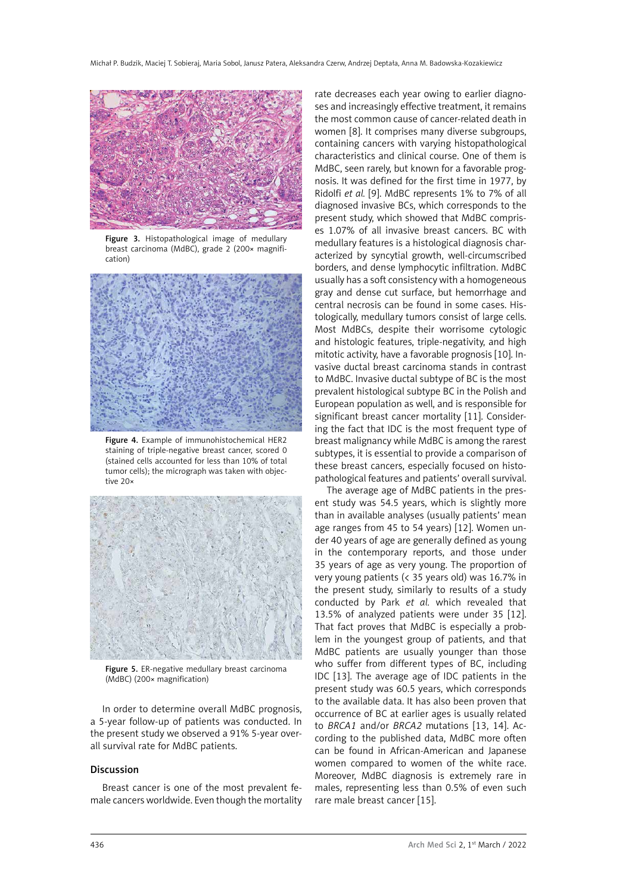

Figure 3. Histopathological image of medullary breast carcinoma (MdBC), grade 2 (200× magnification)



Figure 4. Example of immunohistochemical HER2 staining of triple-negative breast cancer, scored 0 (stained cells accounted for less than 10% of total tumor cells); the micrograph was taken with objective 20×



Figure 5. ER-negative medullary breast carcinoma (MdBC) (200× magnification)

In order to determine overall MdBC prognosis, a 5-year follow-up of patients was conducted. In the present study we observed a 91% 5-year overall survival rate for MdBC patients.

#### Discussion

Breast cancer is one of the most prevalent female cancers worldwide. Even though the mortality

rate decreases each year owing to earlier diagnoses and increasingly effective treatment, it remains the most common cause of cancer-related death in women [8]. It comprises many diverse subgroups, containing cancers with varying histopathological characteristics and clinical course. One of them is MdBC, seen rarely, but known for a favorable prognosis. It was defined for the first time in 1977, by Ridolfi *et al.* [9]. MdBC represents 1% to 7% of all diagnosed invasive BCs, which corresponds to the present study, which showed that MdBC comprises 1.07% of all invasive breast cancers. BC with medullary features is a histological diagnosis characterized by syncytial growth, well-circumscribed borders, and dense lymphocytic infiltration. MdBC usually has a soft consistency with a homogeneous gray and dense cut surface, but hemorrhage and central necrosis can be found in some cases. Histologically, medullary tumors consist of large cells. Most MdBCs, despite their worrisome cytologic and histologic features, triple-negativity, and high mitotic activity, have a favorable prognosis [10]. Invasive ductal breast carcinoma stands in contrast to MdBC. Invasive ductal subtype of BC is the most prevalent histological subtype BC in the Polish and European population as well, and is responsible for significant breast cancer mortality [11]. Considering the fact that IDC is the most frequent type of breast malignancy while MdBC is among the rarest subtypes, it is essential to provide a comparison of these breast cancers, especially focused on histopathological features and patients' overall survival.

The average age of MdBC patients in the present study was 54.5 years, which is slightly more than in available analyses (usually patients' mean age ranges from 45 to 54 years) [12]. Women under 40 years of age are generally defined as young in the contemporary reports, and those under 35 years of age as very young. The proportion of very young patients (< 35 years old) was 16.7% in the present study, similarly to results of a study conducted by Park *et al.* which revealed that 13.5% of analyzed patients were under 35 [12]. That fact proves that MdBC is especially a problem in the youngest group of patients, and that MdBC patients are usually younger than those who suffer from different types of BC, including IDC [13]. The average age of IDC patients in the present study was 60.5 years, which corresponds to the available data. It has also been proven that occurrence of BC at earlier ages is usually related to *BRCA1* and/or *BRCA2* mutations [13, 14]. According to the published data, MdBC more often can be found in African-American and Japanese women compared to women of the white race. Moreover, MdBC diagnosis is extremely rare in males, representing less than 0.5% of even such rare male breast cancer [15].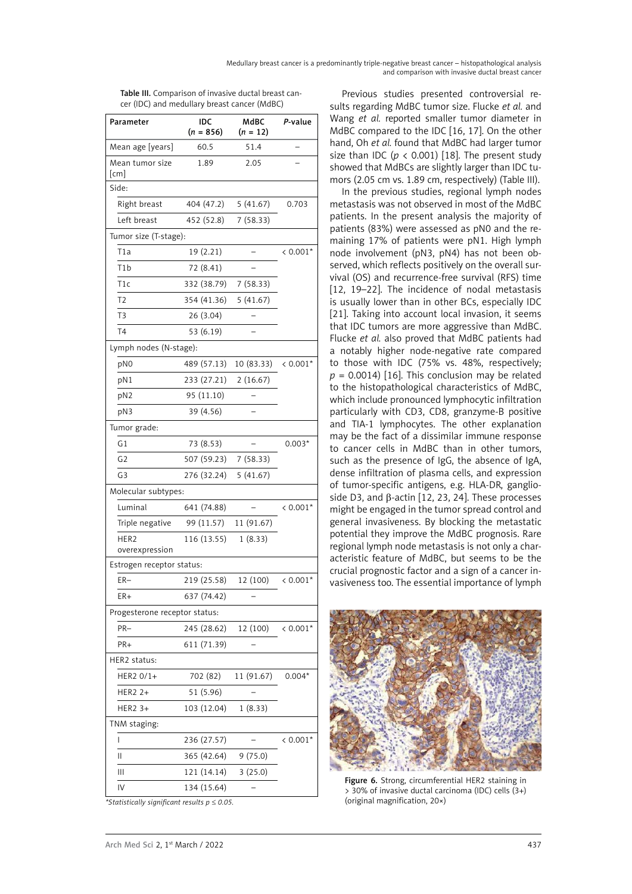| Parameter                               | IDC<br>$(n = 856)$   | MdBC<br>$(n = 12)$ |            |  |  |  |  |  |
|-----------------------------------------|----------------------|--------------------|------------|--|--|--|--|--|
| Mean age [years]                        | 60.5                 | 51.4               |            |  |  |  |  |  |
| Mean tumor size<br>$\lceil$ cm $\rceil$ | 1.89                 | 2.05               |            |  |  |  |  |  |
| Side:                                   |                      |                    |            |  |  |  |  |  |
| Right breast                            | 404 (47.2) 5 (41.67) |                    | 0.703      |  |  |  |  |  |
| Left breast                             | 452 (52.8)           | 7(58.33)           |            |  |  |  |  |  |
| Tumor size (T-stage):                   |                      |                    |            |  |  |  |  |  |
| T1a                                     | 19 (2.21)            |                    | $< 0.001*$ |  |  |  |  |  |
| T1b                                     | 72 (8.41)            |                    |            |  |  |  |  |  |
| T1c                                     | 332 (38.79)          | 7(58.33)           |            |  |  |  |  |  |
| T <sub>2</sub>                          | 354 (41.36)          | 5(41.67)           |            |  |  |  |  |  |
| T <sub>3</sub>                          | 26 (3.04)            |                    |            |  |  |  |  |  |
| T <sub>4</sub>                          | 53 (6.19)            |                    |            |  |  |  |  |  |
| Lymph nodes (N-stage):                  |                      |                    |            |  |  |  |  |  |
| pNO                                     | 489 (57.13)          | 10 (83.33)         | $< 0.001*$ |  |  |  |  |  |
| pN1                                     | 233 (27.21)          | 2(16.67)           |            |  |  |  |  |  |
| pN2                                     | 95 (11.10)           |                    |            |  |  |  |  |  |
| pN3                                     | 39 (4.56)            |                    |            |  |  |  |  |  |
| Tumor grade:                            |                      |                    |            |  |  |  |  |  |
| G1                                      | 73 (8.53)            |                    | $0.003*$   |  |  |  |  |  |
| G <sub>2</sub>                          | 507 (59.23)          | 7(58.33)           |            |  |  |  |  |  |
| G <sub>3</sub>                          | 276 (32.24)          | 5(41.67)           |            |  |  |  |  |  |
| Molecular subtypes:                     |                      |                    |            |  |  |  |  |  |
| Luminal                                 | 641 (74.88)          |                    | $< 0.001*$ |  |  |  |  |  |
| Triple negative                         | 99 (11.57)           | 11 (91.67)         |            |  |  |  |  |  |
| HER <sub>2</sub><br>overexpression      | 116 (13.55)          | 1(8.33)            |            |  |  |  |  |  |
| Estrogen receptor status:               |                      |                    |            |  |  |  |  |  |
| ER-                                     | 219 (25.58)          | 12 (100)           | $< 0.001*$ |  |  |  |  |  |
| ER+                                     | 637 (74.42)          |                    |            |  |  |  |  |  |
| Progesterone receptor status:           |                      |                    |            |  |  |  |  |  |
| PR-                                     | 245 (28.62)          | 12 (100)           | $< 0.001*$ |  |  |  |  |  |
| PR+                                     | 611 (71.39)          |                    |            |  |  |  |  |  |
| HER2 status:                            |                      |                    |            |  |  |  |  |  |
| HER2 0/1+                               | 702 (82)             | 11 (91.67)         | $0.004*$   |  |  |  |  |  |
| HER2 2+                                 | 51 (5.96)            |                    |            |  |  |  |  |  |
| HER2 3+                                 | 103 (12.04)          | 1(8.33)            |            |  |  |  |  |  |
| TNM staging:                            |                      |                    |            |  |  |  |  |  |
| I                                       | 236 (27.57)          |                    | $< 0.001*$ |  |  |  |  |  |
| Ш                                       | 365 (42.64)          | 9(75.0)            |            |  |  |  |  |  |
| Ш                                       | 121 (14.14)          | 3(25.0)            |            |  |  |  |  |  |
| IV                                      | 134 (15.64)          |                    |            |  |  |  |  |  |

Table III. Comparison of invasive ductal breast cancer (IDC) and medullary breast cancer (MdBC)

*\*Statistically significant results p* ≤ *0.05.*

Previous studies presented controversial results regarding MdBC tumor size. Flucke *et al.* and Wang *et al.* reported smaller tumor diameter in MdBC compared to the IDC [16, 17]. On the other hand, Oh *et al.* found that MdBC had larger tumor size than IDC ( $p < 0.001$ ) [18]. The present study showed that MdBCs are slightly larger than IDC tumors (2.05 cm vs. 1.89 cm, respectively) (Table III).

In the previous studies, regional lymph nodes metastasis was not observed in most of the MdBC patients. In the present analysis the majority of patients (83%) were assessed as pN0 and the remaining 17% of patients were pN1. High lymph node involvement (pN3, pN4) has not been observed, which reflects positively on the overall survival (OS) and recurrence-free survival (RFS) time [12, 19–22]. The incidence of nodal metastasis is usually lower than in other BCs, especially IDC [21]. Taking into account local invasion, it seems that IDC tumors are more aggressive than MdBC. Flucke *et al.* also proved that MdBC patients had a notably higher node-negative rate compared to those with IDC (75% vs. 48%, respectively;  $p = 0.0014$ ) [16]. This conclusion may be related to the histopathological characteristics of MdBC, which include pronounced lymphocytic infiltration particularly with CD3, CD8, granzyme-B positive and TIA-1 lymphocytes. The other explanation may be the fact of a dissimilar immune response to cancer cells in MdBC than in other tumors, such as the presence of IgG, the absence of IgA, dense infiltration of plasma cells, and expression of tumor-specific antigens, e.g. HLA-DR, ganglioside D3, and β-actin [12, 23, 24]. These processes might be engaged in the tumor spread control and general invasiveness. By blocking the metastatic potential they improve the MdBC prognosis. Rare regional lymph node metastasis is not only a characteristic feature of MdBC, but seems to be the crucial prognostic factor and a sign of a cancer invasiveness too. The essential importance of lymph



Figure 6. Strong, circumferential HER2 staining in > 30% of invasive ductal carcinoma (IDC) cells (3+) (original magnification, 20×)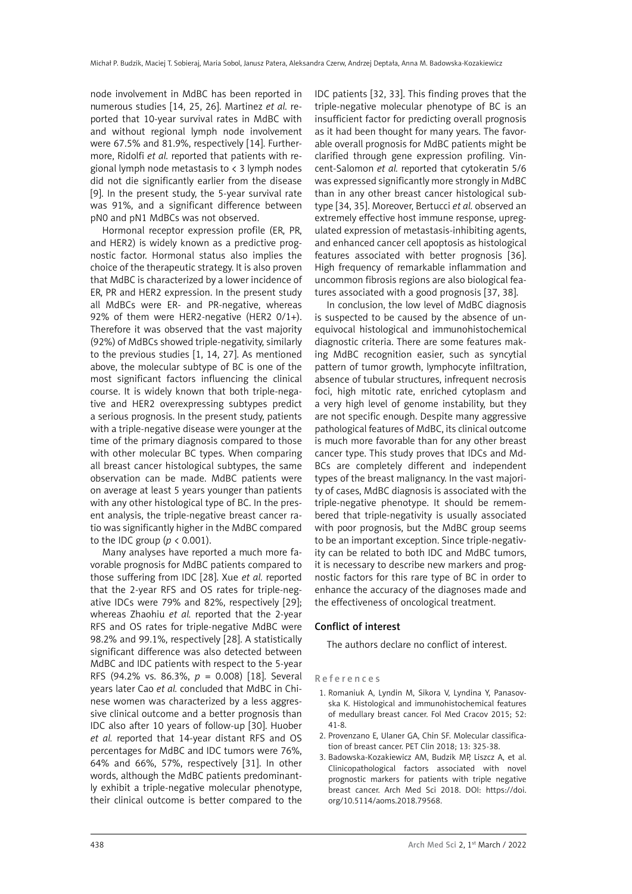node involvement in MdBC has been reported in numerous studies [14, 25, 26]. Martinez *et al.* reported that 10-year survival rates in MdBC with and without regional lymph node involvement were 67.5% and 81.9%, respectively [14]. Furthermore, Ridolfi *et al.* reported that patients with regional lymph node metastasis to < 3 lymph nodes did not die significantly earlier from the disease [9]. In the present study, the 5-year survival rate was 91%, and a significant difference between pN0 and pN1 MdBCs was not observed.

Hormonal receptor expression profile (ER, PR, and HER2) is widely known as a predictive prognostic factor. Hormonal status also implies the choice of the therapeutic strategy. It is also proven that MdBC is characterized by a lower incidence of ER, PR and HER2 expression. In the present study all MdBCs were ER- and PR-negative, whereas 92% of them were HER2-negative (HER2 0/1+). Therefore it was observed that the vast majority (92%) of MdBCs showed triple-negativity, similarly to the previous studies [1, 14, 27]. As mentioned above, the molecular subtype of BC is one of the most significant factors influencing the clinical course. It is widely known that both triple-negative and HER2 overexpressing subtypes predict a serious prognosis. In the present study, patients with a triple-negative disease were younger at the time of the primary diagnosis compared to those with other molecular BC types. When comparing all breast cancer histological subtypes, the same observation can be made. MdBC patients were on average at least 5 years younger than patients with any other histological type of BC. In the present analysis, the triple-negative breast cancer ratio was significantly higher in the MdBC compared to the IDC group ( $p < 0.001$ ).

Many analyses have reported a much more favorable prognosis for MdBC patients compared to those suffering from IDC [28]. Xue *et al.* reported that the 2-year RFS and OS rates for triple-negative IDCs were 79% and 82%, respectively [29]; whereas Zhaohiu *et al.* reported that the 2-year RFS and OS rates for triple-negative MdBC were 98.2% and 99.1%, respectively [28]. A statistically significant difference was also detected between MdBC and IDC patients with respect to the 5-year RFS (94.2% vs. 86.3%, *p* = 0.008) [18]. Several years later Cao *et al.* concluded that MdBC in Chinese women was characterized by a less aggressive clinical outcome and a better prognosis than IDC also after 10 years of follow-up [30]. Huober *et al.* reported that 14-year distant RFS and OS percentages for MdBC and IDC tumors were 76%, 64% and 66%, 57%, respectively [31]. In other words, although the MdBC patients predominantly exhibit a triple-negative molecular phenotype, their clinical outcome is better compared to the IDC patients [32, 33]. This finding proves that the triple-negative molecular phenotype of BC is an insufficient factor for predicting overall prognosis as it had been thought for many years. The favorable overall prognosis for MdBC patients might be clarified through gene expression profiling. Vincent-Salomon *et al.* reported that cytokeratin 5/6 was expressed significantly more strongly in MdBC than in any other breast cancer histological subtype [34, 35]. Moreover, Bertucci *et al.* observed an extremely effective host immune response, upregulated expression of metastasis-inhibiting agents, and enhanced cancer cell apoptosis as histological features associated with better prognosis [36]. High frequency of remarkable inflammation and uncommon fibrosis regions are also biological features associated with a good prognosis [37, 38].

In conclusion, the low level of MdBC diagnosis is suspected to be caused by the absence of unequivocal histological and immunohistochemical diagnostic criteria. There are some features making MdBC recognition easier, such as syncytial pattern of tumor growth, lymphocyte infiltration, absence of tubular structures, infrequent necrosis foci, high mitotic rate, enriched cytoplasm and a very high level of genome instability, but they are not specific enough. Despite many aggressive pathological features of MdBC, its clinical outcome is much more favorable than for any other breast cancer type. This study proves that IDCs and Md-BCs are completely different and independent types of the breast malignancy. In the vast majority of cases, MdBC diagnosis is associated with the triple-negative phenotype. It should be remembered that triple-negativity is usually associated with poor prognosis, but the MdBC group seems to be an important exception. Since triple-negativity can be related to both IDC and MdBC tumors, it is necessary to describe new markers and prognostic factors for this rare type of BC in order to enhance the accuracy of the diagnoses made and the effectiveness of oncological treatment.

## Conflict of interest

The authors declare no conflict of interest.

### References

- 1. Romaniuk A, Lyndin M, Sikora V, Lyndina Y, Panasovska K. Histological and immunohistochemical features of medullary breast cancer. Fol Med Cracov 2015; 52: 41-8.
- 2. Provenzano E, Ulaner GA, Chin SF. Molecular classification of breast cancer. PET Clin 2018; 13: 325-38.
- 3. Badowska-Kozakiewicz AM, Budzik MP, Liszcz A, et al. Clinicopathological factors associated with novel prognostic markers for patients with triple negative breast cancer. Arch Med Sci 2018. DOI:  [https://doi.](https://doi.org/10.5114/aoms.2018.79568) [org/10.5114/aoms.2018.79568.](https://doi.org/10.5114/aoms.2018.79568)